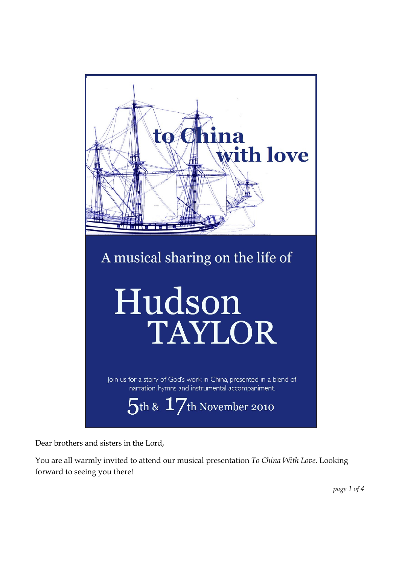

Dear brothers and sisters in the Lord,

You are all warmly invited to attend our musical presentation To China With Love. Looking forward to seeing you there!

page 1 of 4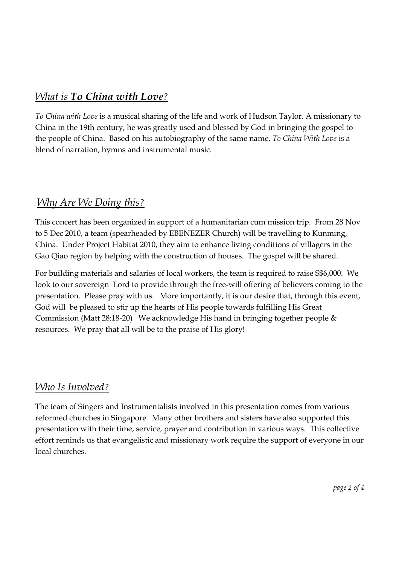## What is To China with Love?

To China with Love is a musical sharing of the life and work of Hudson Taylor. A missionary to China in the 19th century, he was greatly used and blessed by God in bringing the gospel to the people of China. Based on his autobiography of the same name, To China With Love is a blend of narration, hymns and instrumental music.

### Why Are We Doing this?

This concert has been organized in support of a humanitarian cum mission trip. From 28 Nov to 5 Dec 2010, a team (spearheaded by EBENEZER Church) will be travelling to Kunming, China. Under Project Habitat 2010, they aim to enhance living conditions of villagers in the Gao Qiao region by helping with the construction of houses. The gospel will be shared.

For building materials and salaries of local workers, the team is required to raise S\$6,000. We look to our sovereign Lord to provide through the free-will offering of believers coming to the presentation. Please pray with us. More importantly, it is our desire that, through this event, God will be pleased to stir up the hearts of His people towards fulfilling His Great Commission (Matt 28:18-20) We acknowledge His hand in bringing together people & resources. We pray that all will be to the praise of His glory!

### Who Is Involved?

The team of Singers and Instrumentalists involved in this presentation comes from various reformed churches in Singapore. Many other brothers and sisters have also supported this presentation with their time, service, prayer and contribution in various ways. This collective effort reminds us that evangelistic and missionary work require the support of everyone in our local churches.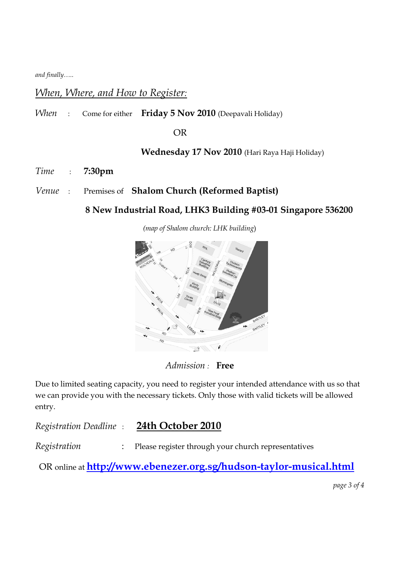and finally…..

#### When, Where, and How to Register:

When : Come for either Friday 5 Nov 2010 (Deepavali Holiday)

OR

Wednesday 17 Nov 2010 (Hari Raya Haji Holiday)

- Time : 7:30pm
- Venue : Premises of Shalom Church (Reformed Baptist)

#### 8 New Industrial Road, LHK3 Building #03-01 Singapore 536200

(map of Shalom church: LHK building)



Admission : Free

Due to limited seating capacity, you need to register your intended attendance with us so that we can provide you with the necessary tickets. Only those with valid tickets will be allowed entry.

Registration Deadline : 24th October 2010

Registration : Please register through your church representatives

OR online at http://www.ebenezer.org.sg/hudson-taylor-musical.html

page 3 of 4